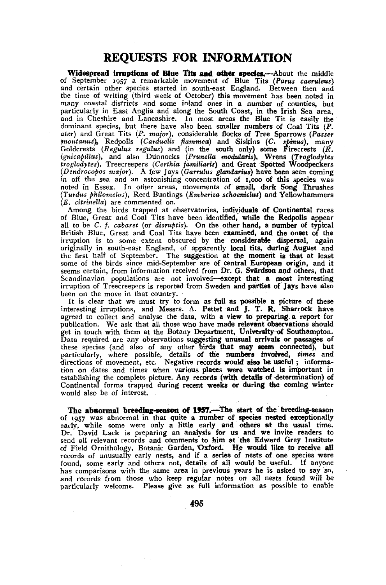## REQUESTS FOR INFORMATION

Widespread irruptions of Blue Tits **and other species.—**About the middle of September 1957 a remarkable movement of Blue Tits (Poms *caeruleus)*  and certain other species started in south-east England. Between then and the time of writing (third week of October) this movement has been noted in many coastal districts and some inland ones in a number of counties, but particularly in East Anglia and along the South Coast, in the Irish Sea area, and in Cheshire and Lancashire. In most areas the Blue Tit is easily the dominant species, but there have also been smaller numbers of Coal Tits  $(P, P)$ *ater)* and Great Tits *(P. major),* considerable flocks of Tree Sparrows *(Passer*  montanus), Redpolls (Carduelis flammea) and Siskins (C. spinus), many<br>Goldcrests (Regulus regulus) and (in the south only) some Firecrests (R.<br>ignicapillus), and also Dunnocks (Prunella modularis), Wrens (Troglodytes<br>trogl *(Dendrocopos major).* A few Jays *(Garrulus glandarius)* have been seen coming in off the sea and an astonishing concentration of 1,000 of this species was noted in Essex. In other areas, movements of small, dark Song Thrushes *(Tardus philomelos),* Reed Buntings *(Emberiza schoeniclus)* and Yellowhammers *(E. citrinella)* are commented on.

Among the birds trapped at observatories, individuals of Continental races of Blue, Great and Coal Tits have been identified, while the Redpolls appear all to be C. /. *cabaret* (or *disruptis).* On the other hand, a number of typical British Blue, Great and Coal Tits have been examined, and the onset of the irruption is to some extent obscured by the considerable dispersal, again originally in south-east England, of apparently local tits, during August and the first half of September. The suggestion at the moment is that at least some of the birds since mid-September are of central European origin, and it seems certain, from information received from Dr. G. Svärdson and others, that Scandinavian populations are not involved—except that a most interesting irruption of Treecreepers is reported from Sweden and parties of Jays have also been on the move in that country.

It is clear that we must try to form as full as possible a picture of these interesting irruptions, and Messrs. A. Pettet and J. T. R. Sharrock have agreed to collect and analyse the data, with a view to preparing a report for publication. We ask that all those who have made relevant observations should get in touch with them at the Botany Department, University of Southampton.<br>Data required are any observations suggesting unusual arrivals or passages of these species (and also of any other birds that may seem connected), tion on dates and times when various places were watched is important in establishing the complete picture. Any records (with details of determination) of Continental forms trapped during recent weeks or during the coming winter would also be of interest.

The abnormal breeding-season of 1957.—The start of the breeding-season of 1957 was abnormal in that quite a number of species nested exceptionally early, while some were only a little early and others at the usual time. Dr. David Lack is preparing an analysis for us and we invite readers to send all relevant records and comments to him at the Edward Grey Institute<br>of Field Ornithology, Botanic Garden, Oxford. He would like to receive all<br>records of unusually early nests, and if a series of nests of one specie found, some early and others not, details of all would be useful. If anyone has comparisons with the same area in previous years he is asked to say so, and records from those who keep regular notes on all nests found will be particularly welcome. Please give as full information as possible to enable